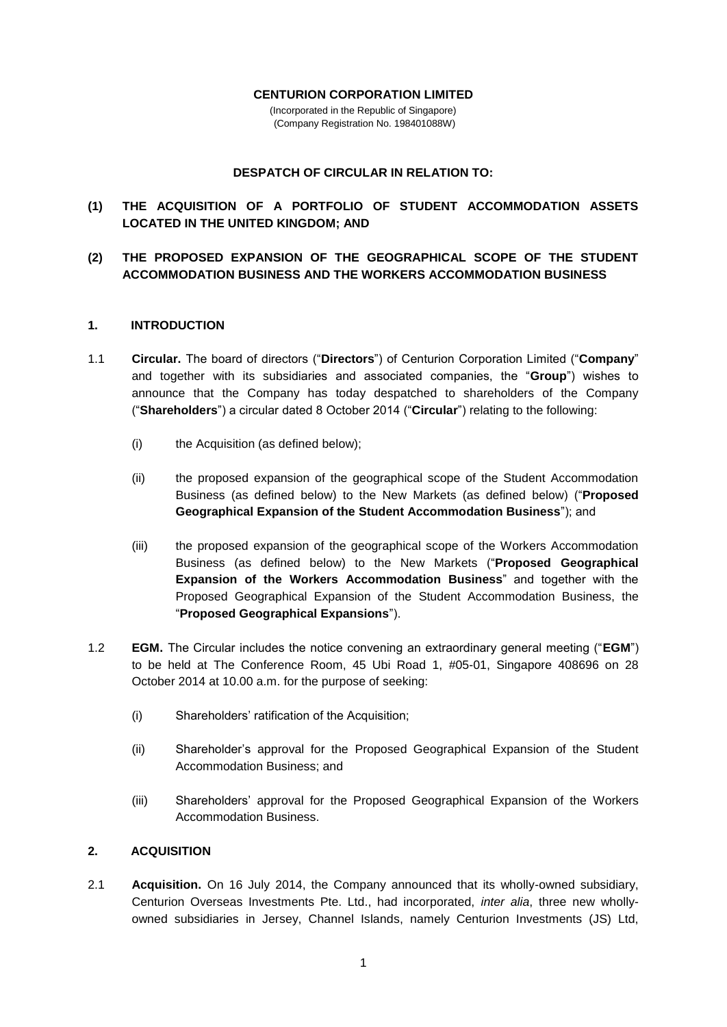#### **CENTURION CORPORATION LIMITED**

(Incorporated in the Republic of Singapore) (Company Registration No. 198401088W)

### **DESPATCH OF CIRCULAR IN RELATION TO:**

# **(1) THE ACQUISITION OF A PORTFOLIO OF STUDENT ACCOMMODATION ASSETS LOCATED IN THE UNITED KINGDOM; AND**

## **(2) THE PROPOSED EXPANSION OF THE GEOGRAPHICAL SCOPE OF THE STUDENT ACCOMMODATION BUSINESS AND THE WORKERS ACCOMMODATION BUSINESS**

#### **1. INTRODUCTION**

- 1.1 **Circular.** The board of directors ("**Directors**") of Centurion Corporation Limited ("**Company**" and together with its subsidiaries and associated companies, the "**Group**") wishes to announce that the Company has today despatched to shareholders of the Company ("**Shareholders**") a circular dated 8 October 2014 ("**Circular**") relating to the following:
	- (i) the Acquisition (as defined below);
	- (ii) the proposed expansion of the geographical scope of the Student Accommodation Business (as defined below) to the New Markets (as defined below) ("**Proposed Geographical Expansion of the Student Accommodation Business**"); and
	- (iii) the proposed expansion of the geographical scope of the Workers Accommodation Business (as defined below) to the New Markets ("**Proposed Geographical Expansion of the Workers Accommodation Business**" and together with the Proposed Geographical Expansion of the Student Accommodation Business, the "**Proposed Geographical Expansions**").
- 1.2 **EGM.** The Circular includes the notice convening an extraordinary general meeting ("**EGM**") to be held at The Conference Room, 45 Ubi Road 1, #05-01, Singapore 408696 on 28 October 2014 at 10.00 a.m. for the purpose of seeking:
	- (i) Shareholders' ratification of the Acquisition;
	- (ii) Shareholder's approval for the Proposed Geographical Expansion of the Student Accommodation Business; and
	- (iii) Shareholders' approval for the Proposed Geographical Expansion of the Workers Accommodation Business.

### **2. ACQUISITION**

2.1 **Acquisition.** On 16 July 2014, the Company announced that its wholly-owned subsidiary, Centurion Overseas Investments Pte. Ltd., had incorporated, *inter alia*, three new whollyowned subsidiaries in Jersey, Channel Islands, namely Centurion Investments (JS) Ltd,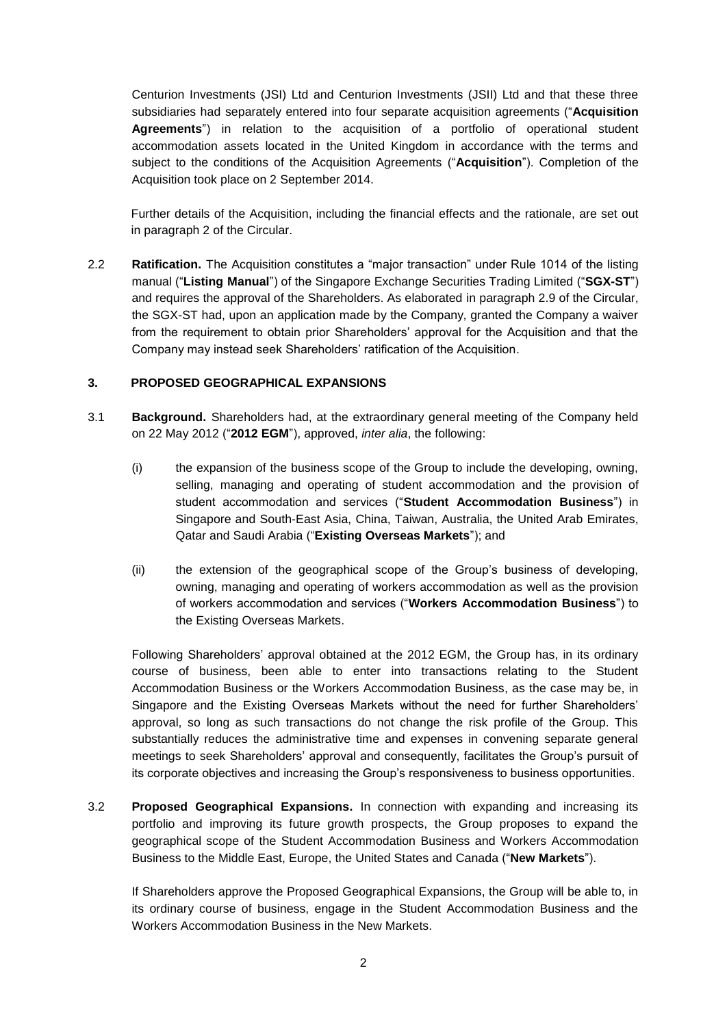Centurion Investments (JSI) Ltd and Centurion Investments (JSII) Ltd and that these three subsidiaries had separately entered into four separate acquisition agreements ("**Acquisition Agreements**") in relation to the acquisition of a portfolio of operational student accommodation assets located in the United Kingdom in accordance with the terms and subject to the conditions of the Acquisition Agreements ("**Acquisition**"). Completion of the Acquisition took place on 2 September 2014.

Further details of the Acquisition, including the financial effects and the rationale, are set out in paragraph 2 of the Circular.

2.2 **Ratification.** The Acquisition constitutes a "major transaction" under Rule 1014 of the listing manual ("**Listing Manual**") of the Singapore Exchange Securities Trading Limited ("**SGX-ST**") and requires the approval of the Shareholders. As elaborated in paragraph 2.9 of the Circular, the SGX-ST had, upon an application made by the Company, granted the Company a waiver from the requirement to obtain prior Shareholders' approval for the Acquisition and that the Company may instead seek Shareholders' ratification of the Acquisition.

#### **3. PROPOSED GEOGRAPHICAL EXPANSIONS**

- 3.1 **Background.** Shareholders had, at the extraordinary general meeting of the Company held on 22 May 2012 ("**2012 EGM**"), approved, *inter alia*, the following:
	- (i) the expansion of the business scope of the Group to include the developing, owning, selling, managing and operating of student accommodation and the provision of student accommodation and services ("**Student Accommodation Business**") in Singapore and South-East Asia, China, Taiwan, Australia, the United Arab Emirates, Qatar and Saudi Arabia ("**Existing Overseas Markets**"); and
	- (ii) the extension of the geographical scope of the Group's business of developing, owning, managing and operating of workers accommodation as well as the provision of workers accommodation and services ("**Workers Accommodation Business**") to the Existing Overseas Markets.

Following Shareholders' approval obtained at the 2012 EGM, the Group has, in its ordinary course of business, been able to enter into transactions relating to the Student Accommodation Business or the Workers Accommodation Business, as the case may be, in Singapore and the Existing Overseas Markets without the need for further Shareholders' approval, so long as such transactions do not change the risk profile of the Group. This substantially reduces the administrative time and expenses in convening separate general meetings to seek Shareholders' approval and consequently, facilitates the Group's pursuit of its corporate objectives and increasing the Group's responsiveness to business opportunities.

3.2 **Proposed Geographical Expansions.** In connection with expanding and increasing its portfolio and improving its future growth prospects, the Group proposes to expand the geographical scope of the Student Accommodation Business and Workers Accommodation Business to the Middle East, Europe, the United States and Canada ("**New Markets**").

If Shareholders approve the Proposed Geographical Expansions, the Group will be able to, in its ordinary course of business, engage in the Student Accommodation Business and the Workers Accommodation Business in the New Markets.